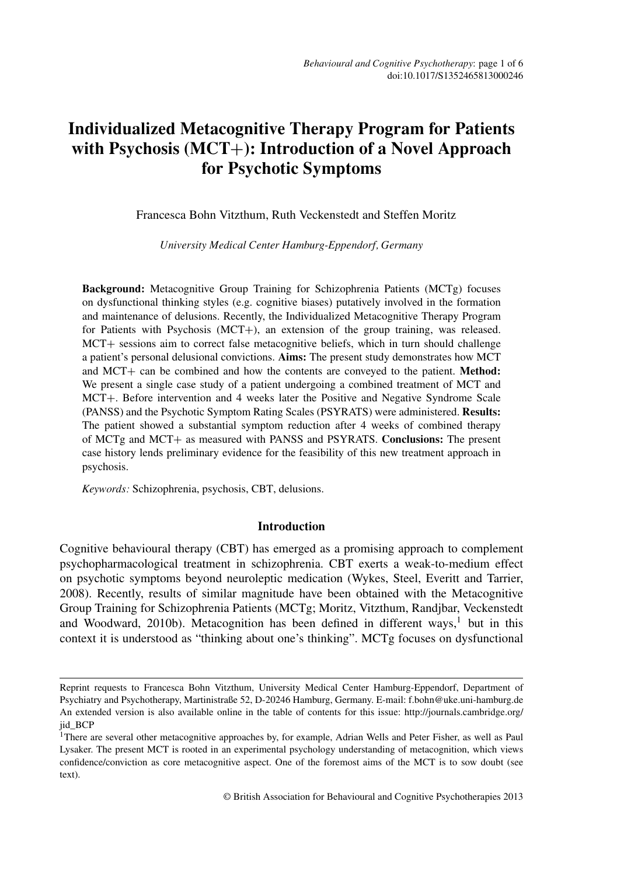# **Individualized Metacognitive Therapy Program for Patients with Psychosis (MCT**+**): Introduction of a Novel Approach for Psychotic Symptoms**

Francesca Bohn Vitzthum, Ruth Veckenstedt and Steffen Moritz

*University Medical Center Hamburg-Eppendorf, Germany*

**Background:** Metacognitive Group Training for Schizophrenia Patients (MCTg) focuses on dysfunctional thinking styles (e.g. cognitive biases) putatively involved in the formation and maintenance of delusions. Recently, the Individualized Metacognitive Therapy Program for Patients with Psychosis (MCT+), an extension of the group training, was released. MCT+ sessions aim to correct false metacognitive beliefs, which in turn should challenge a patient's personal delusional convictions. **Aims:** The present study demonstrates how MCT and MCT+ can be combined and how the contents are conveyed to the patient. **Method:** We present a single case study of a patient undergoing a combined treatment of MCT and MCT+. Before intervention and 4 weeks later the Positive and Negative Syndrome Scale (PANSS) and the Psychotic Symptom Rating Scales (PSYRATS) were administered. **Results:** The patient showed a substantial symptom reduction after 4 weeks of combined therapy of MCTg and MCT+ as measured with PANSS and PSYRATS. **Conclusions:** The present case history lends preliminary evidence for the feasibility of this new treatment approach in psychosis.

*Keywords:* Schizophrenia, psychosis, CBT, delusions.

# **Introduction**

Cognitive behavioural therapy (CBT) has emerged as a promising approach to complement psychopharmacological treatment in schizophrenia. CBT exerts a weak-to-medium effect on psychotic symptoms beyond neuroleptic medication (Wykes, Steel, Everitt and Tarrier, 2008). Recently, results of similar magnitude have been obtained with the Metacognitive Group Training for Schizophrenia Patients (MCTg; Moritz, Vitzthum, Randjbar, Veckenstedt and Woodward, 2010b). Metacognition has been defined in different ways,<sup>1</sup> but in this context it is understood as "thinking about one's thinking". MCTg focuses on dysfunctional

Reprint requests to Francesca Bohn Vitzthum, University Medical Center Hamburg-Eppendorf, Department of Psychiatry and Psychotherapy, Martinistraße 52, D-20246 Hamburg, Germany. E-mail: f.bohn@uke.uni-hamburg.de An extended version is also available online in the table of contents for this issue: http://journals.cambridge.org/ jid\_BCP

<sup>&</sup>lt;sup>1</sup>There are several other metacognitive approaches by, for example, Adrian Wells and Peter Fisher, as well as Paul Lysaker. The present MCT is rooted in an experimental psychology understanding of metacognition, which views confidence/conviction as core metacognitive aspect. One of the foremost aims of the MCT is to sow doubt (see text).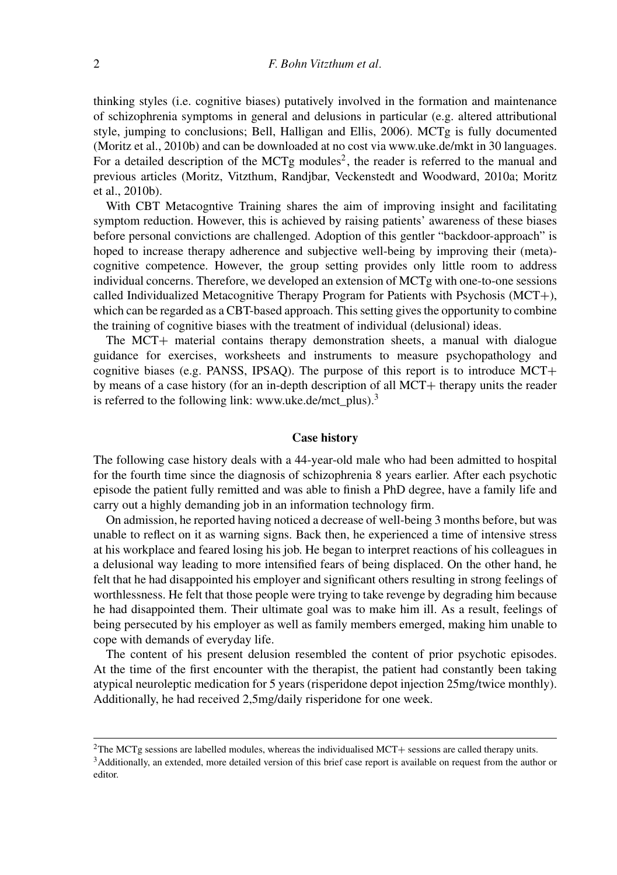thinking styles (i.e. cognitive biases) putatively involved in the formation and maintenance of schizophrenia symptoms in general and delusions in particular (e.g. altered attributional style, jumping to conclusions; Bell, Halligan and Ellis, 2006). MCTg is fully documented (Moritz et al., 2010b) and can be downloaded at no cost via www.uke.de/mkt in 30 languages. For a detailed description of the MCTg modules<sup>2</sup>, the reader is referred to the manual and previous articles (Moritz, Vitzthum, Randjbar, Veckenstedt and Woodward, 2010a; Moritz et al., 2010b).

With CBT Metacogntive Training shares the aim of improving insight and facilitating symptom reduction. However, this is achieved by raising patients' awareness of these biases before personal convictions are challenged. Adoption of this gentler "backdoor-approach" is hoped to increase therapy adherence and subjective well-being by improving their (meta) cognitive competence. However, the group setting provides only little room to address individual concerns. Therefore, we developed an extension of MCTg with one-to-one sessions called Individualized Metacognitive Therapy Program for Patients with Psychosis (MCT+), which can be regarded as a CBT-based approach. This setting gives the opportunity to combine the training of cognitive biases with the treatment of individual (delusional) ideas.

The MCT+ material contains therapy demonstration sheets, a manual with dialogue guidance for exercises, worksheets and instruments to measure psychopathology and cognitive biases (e.g. PANSS, IPSAQ). The purpose of this report is to introduce MCT+ by means of a case history (for an in-depth description of all MCT+ therapy units the reader is referred to the following link: www.uke.de/mct\_plus).<sup>3</sup>

## **Case history**

The following case history deals with a 44-year-old male who had been admitted to hospital for the fourth time since the diagnosis of schizophrenia 8 years earlier. After each psychotic episode the patient fully remitted and was able to finish a PhD degree, have a family life and carry out a highly demanding job in an information technology firm.

On admission, he reported having noticed a decrease of well-being 3 months before, but was unable to reflect on it as warning signs. Back then, he experienced a time of intensive stress at his workplace and feared losing his job. He began to interpret reactions of his colleagues in a delusional way leading to more intensified fears of being displaced. On the other hand, he felt that he had disappointed his employer and significant others resulting in strong feelings of worthlessness. He felt that those people were trying to take revenge by degrading him because he had disappointed them. Their ultimate goal was to make him ill. As a result, feelings of being persecuted by his employer as well as family members emerged, making him unable to cope with demands of everyday life.

The content of his present delusion resembled the content of prior psychotic episodes. At the time of the first encounter with the therapist, the patient had constantly been taking atypical neuroleptic medication for 5 years (risperidone depot injection 25mg/twice monthly). Additionally, he had received 2,5mg/daily risperidone for one week.

 ${}^{2}$ The MCTg sessions are labelled modules, whereas the individualised MCT+ sessions are called therapy units.<br> ${}^{3}$ Additionally, an extended, more detailed version of this brief case report is available on request fro editor.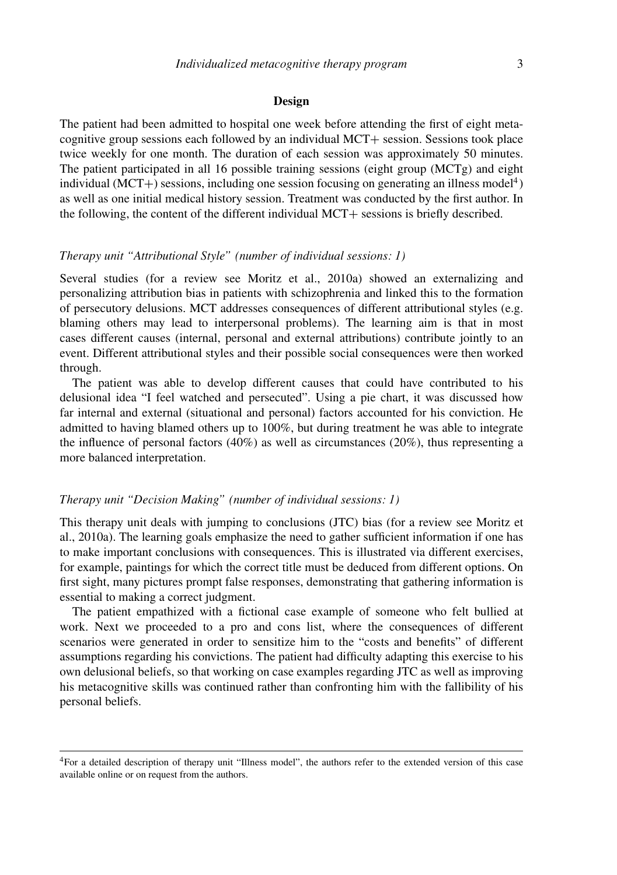#### **Design**

The patient had been admitted to hospital one week before attending the first of eight metacognitive group sessions each followed by an individual MCT+ session. Sessions took place twice weekly for one month. The duration of each session was approximately 50 minutes. The patient participated in all 16 possible training sessions (eight group (MCTg) and eight individual (MCT+) sessions, including one session focusing on generating an illness model<sup>4</sup>) as well as one initial medical history session. Treatment was conducted by the first author. In the following, the content of the different individual MCT+ sessions is briefly described.

# *Therapy unit "Attributional Style" (number of individual sessions: 1)*

Several studies (for a review see Moritz et al., 2010a) showed an externalizing and personalizing attribution bias in patients with schizophrenia and linked this to the formation of persecutory delusions. MCT addresses consequences of different attributional styles (e.g. blaming others may lead to interpersonal problems). The learning aim is that in most cases different causes (internal, personal and external attributions) contribute jointly to an event. Different attributional styles and their possible social consequences were then worked through.

The patient was able to develop different causes that could have contributed to his delusional idea "I feel watched and persecuted". Using a pie chart, it was discussed how far internal and external (situational and personal) factors accounted for his conviction. He admitted to having blamed others up to 100%, but during treatment he was able to integrate the influence of personal factors  $(40%)$  as well as circumstances  $(20%)$ , thus representing a more balanced interpretation.

## *Therapy unit "Decision Making" (number of individual sessions: 1)*

This therapy unit deals with jumping to conclusions (JTC) bias (for a review see Moritz et al., 2010a). The learning goals emphasize the need to gather sufficient information if one has to make important conclusions with consequences. This is illustrated via different exercises, for example, paintings for which the correct title must be deduced from different options. On first sight, many pictures prompt false responses, demonstrating that gathering information is essential to making a correct judgment.

The patient empathized with a fictional case example of someone who felt bullied at work. Next we proceeded to a pro and cons list, where the consequences of different scenarios were generated in order to sensitize him to the "costs and benefits" of different assumptions regarding his convictions. The patient had difficulty adapting this exercise to his own delusional beliefs, so that working on case examples regarding JTC as well as improving his metacognitive skills was continued rather than confronting him with the fallibility of his personal beliefs.

<sup>4</sup>For a detailed description of therapy unit "Illness model", the authors refer to the extended version of this case available online or on request from the authors.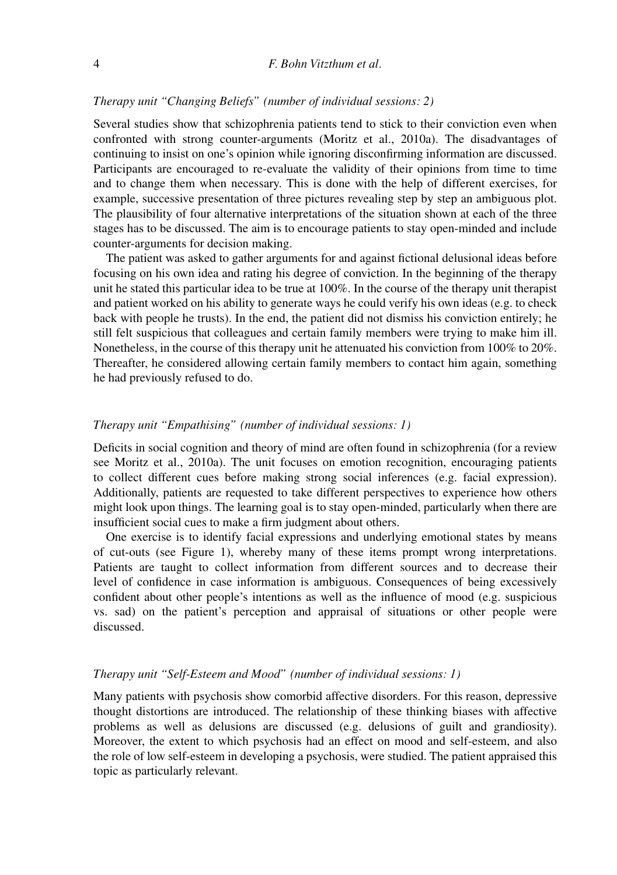## *Therapy unit "Changing Beliefs" (number of individual sessions: 2)*

Several studies show that schizophrenia patients tend to stick to their conviction even when confronted with strong counter-arguments (Moritz et al., 2010a). The disadvantages of continuing to insist on one's opinion while ignoring disconfirming information are discussed. Participants are encouraged to re-evaluate the validity of their opinions from time to time and to change them when necessary. This is done with the help of different exercises, for example, successive presentation of three pictures revealing step by step an ambiguous plot. The plausibility of four alternative interpretations of the situation shown at each of the three stages has to be discussed. The aim is to encourage patients to stay open-minded and include counter-arguments for decision making.

The patient was asked to gather arguments for and against fictional delusional ideas before focusing on his own idea and rating his degree of conviction. In the beginning of the therapy unit he stated this particular idea to be true at 100%. In the course of the therapy unit therapist and patient worked on his ability to generate ways he could verify his own ideas (e.g. to check back with people he trusts). In the end, the patient did not dismiss his conviction entirely; he still felt suspicious that colleagues and certain family members were trying to make him ill. Nonetheless, in the course of this therapy unit he attenuated his conviction from 100% to 20%. Thereafter, he considered allowing certain family members to contact him again, something he had previously refused to do.

## *Therapy unit "Empathising" (number of individual sessions: 1)*

Deficits in social cognition and theory of mind are often found in schizophrenia (for a review see Moritz et al., 2010a). The unit focuses on emotion recognition, encouraging patients to collect different cues before making strong social inferences (e.g. facial expression). Additionally, patients are requested to take different perspectives to experience how others might look upon things. The learning goal is to stay open-minded, particularly when there are insufficient social cues to make a firm judgment about others.

One exercise is to identify facial expressions and underlying emotional states by means of cut-outs (see Figure 1), whereby many of these items prompt wrong interpretations. Patients are taught to collect information from different sources and to decrease their level of confidence in case information is ambiguous. Consequences of being excessively confident about other people's intentions as well as the influence of mood (e.g. suspicious vs. sad) on the patient's perception and appraisal of situations or other people were discussed.

## *Therapy unit "Self-Esteem and Mood" (number of individual sessions: 1)*

Many patients with psychosis show comorbid affective disorders. For this reason, depressive thought distortions are introduced. The relationship of these thinking biases with affective problems as well as delusions are discussed (e.g. delusions of guilt and grandiosity). Moreover, the extent to which psychosis had an effect on mood and self-esteem, and also the role of low self-esteem in developing a psychosis, were studied. The patient appraised this topic as particularly relevant.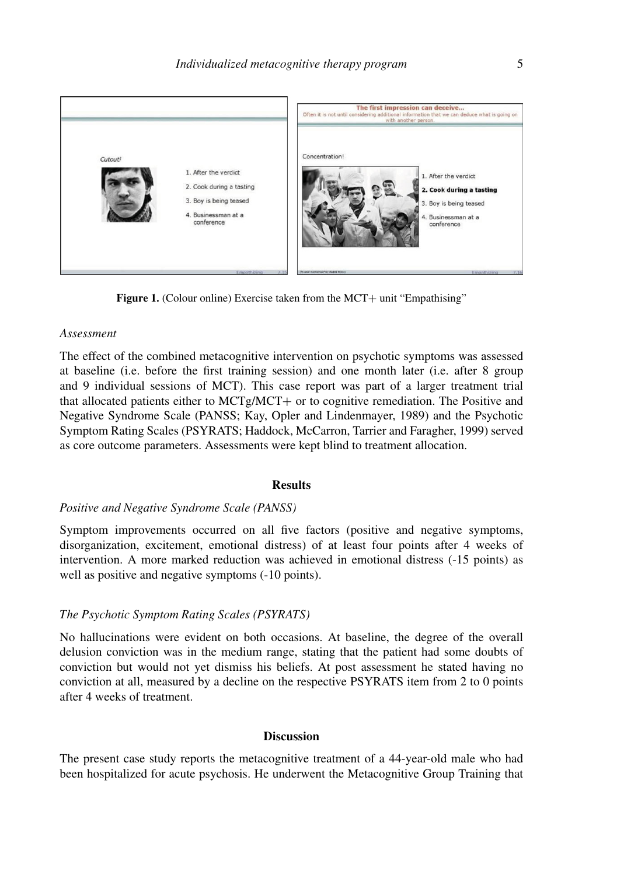

**Figure 1.** (Colour online) Exercise taken from the MCT+ unit "Empathising"

#### *Assessment*

The effect of the combined metacognitive intervention on psychotic symptoms was assessed at baseline (i.e. before the first training session) and one month later (i.e. after 8 group and 9 individual sessions of MCT). This case report was part of a larger treatment trial that allocated patients either to MCTg/MCT+ or to cognitive remediation. The Positive and Negative Syndrome Scale (PANSS; Kay, Opler and Lindenmayer, 1989) and the Psychotic Symptom Rating Scales (PSYRATS; Haddock, McCarron, Tarrier and Faragher, 1999) served as core outcome parameters. Assessments were kept blind to treatment allocation.

#### **Results**

#### *Positive and Negative Syndrome Scale (PANSS)*

Symptom improvements occurred on all five factors (positive and negative symptoms, disorganization, excitement, emotional distress) of at least four points after 4 weeks of intervention. A more marked reduction was achieved in emotional distress (-15 points) as well as positive and negative symptoms (-10 points).

## *The Psychotic Symptom Rating Scales (PSYRATS)*

No hallucinations were evident on both occasions. At baseline, the degree of the overall delusion conviction was in the medium range, stating that the patient had some doubts of conviction but would not yet dismiss his beliefs. At post assessment he stated having no conviction at all, measured by a decline on the respective PSYRATS item from 2 to 0 points after 4 weeks of treatment.

# **Discussion**

The present case study reports the metacognitive treatment of a 44-year-old male who had been hospitalized for acute psychosis. He underwent the Metacognitive Group Training that